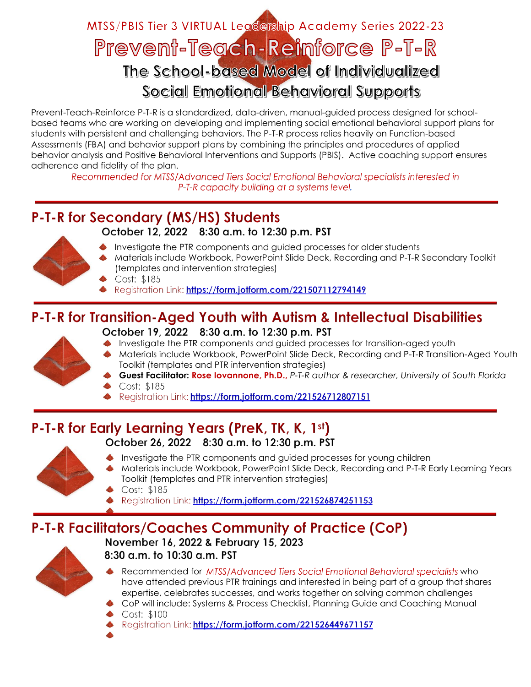# MTSS/PBIS Tier 3 VIRTUAL Legcership Academy Series 2022-23 Prevent-Teach-Reinforce P-T-R The School-based Model of Individualized Social Emotional Behavioral Supports

Prevent-Teach-Reinforce P-T-R is a standardized, data-driven, manual-guided process designed for schoolbased teams who are working on developing and implementing social emotional behavioral support plans for students with persistent and challenging behaviors. The P-T-R process relies heavily on Function-based Assessments (FBA) and behavior support plans by combining the principles and procedures of applied behavior analysis and Positive Behavioral Interventions and Supports (PBIS). Active coaching support ensures adherence and fidelity of the plan.

Recommended for MTSS/Advanced Tiers Social Emotional Behavioral specialists interested in P-T-R capacity building at a systems level,

#### P-T-R for Secondary (MS/HS) Students October 12, 2022 8:30 a.m. to 12:30 p.m. PST



- Investigate the PTR components and guided processes for older students
- Materials include Workbook, PowerPoint Slide Deck, Recording and P-T-R Secondary Toolkit (templates and intervention strategies)
- Cost: \$185
- Registration Link: https://form.jotform.com/221507112794149

# P-T-R for Transition-Aged Youth with Autism & Intellectual Disabilities



- October 19, 2022 8:30 a.m. to 12:30 p.m. PST
- Investigate the PTR components and guided processes for transition-aged youth
- Materials include Workbook, PowerPoint Slide Deck, Recording and P-T-R Transition-Aged Youth Toolkit (templates and PTR intervention strategies)
	- **Guest Facilitator: Rose Iovannone, Ph.D.,** *P-T-R author & researcher, University of South Florida* Cost: \$185
- Registration Link: https://form.jotform.com/221526712807151

# P-T-R for Early Learning Years (PreK, TK, K, 1st)



- October 26, 2022 8:30 a.m. to 12:30 p.m. PST
- Investigate the PTR components and guided processes for young children
- Materials include Workbook, PowerPoint Slide Deck, Recording and P-T-R Early Learning Years Toolkit (templates and PTR intervention strategies)
- Cost: \$185
- Registration Link: https://form.jotform.com/221526874251153

## P-T-R Facilitators/Coaches Community of Practice (CoP)

November 16, 2022 & February 15, 2023



- 8:30 a.m. to 10:30 a.m. PST
- Recommended for MTSS/Advanced Tiers Social Emotional Behavioral specialists who have attended previous PTR trainings and interested in being part of a group that shares expertise, celebrates successes, and works together on solving common challenges
- CoP will include: Systems & Process Checklist, Planning Guide and Coaching Manual
- Cost: \$100
- Registration Link: https://form.jotform.com/221526449671157